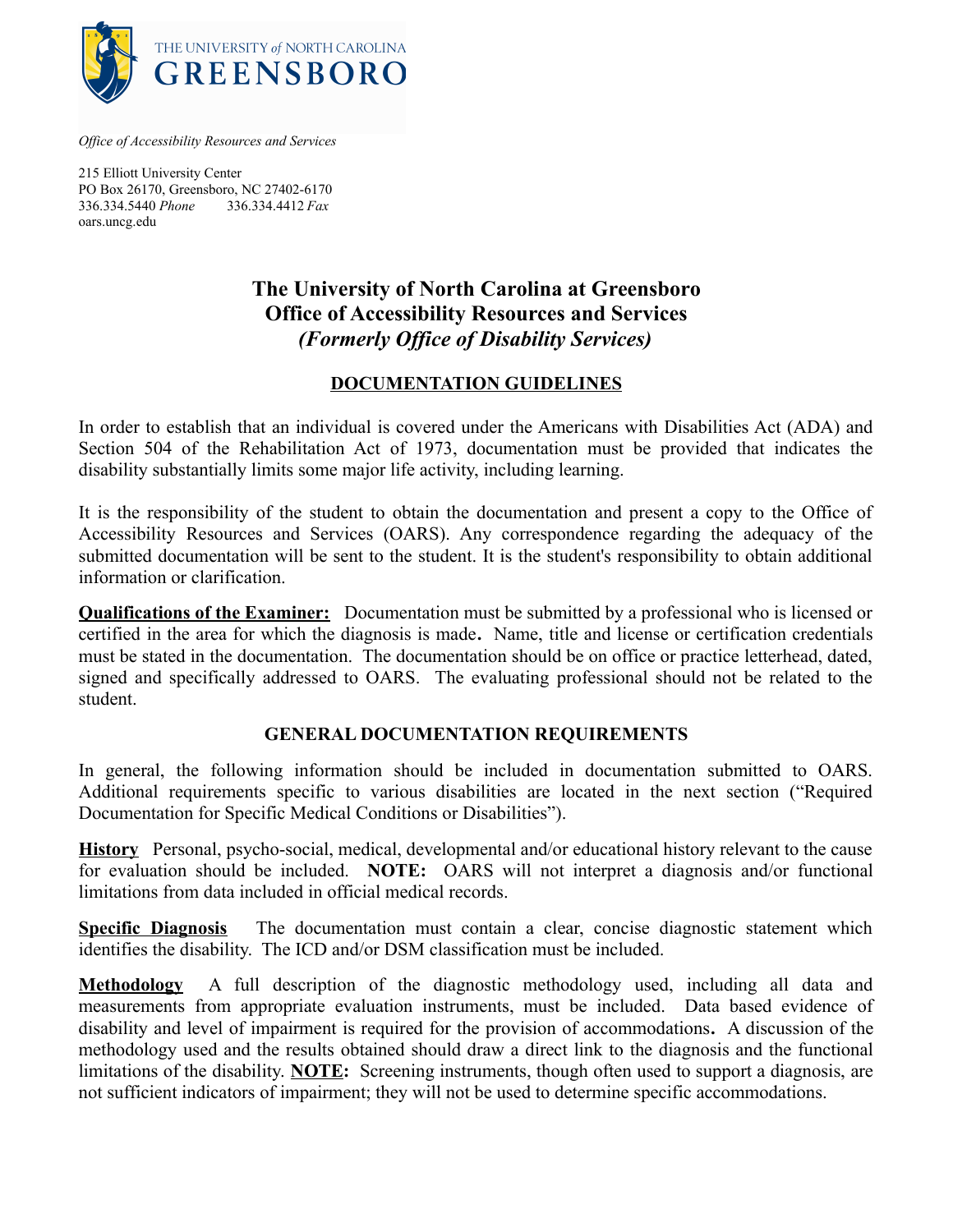

*Office of Accessibility Resources and Services*

215 Elliott University Center PO Box 26170, Greensboro, NC 27402-6170 336.334.5440 *Phone* 336.334.4412 *Fax* oars.uncg.edu

# **The University of North Carolina at Greensboro Office of Accessibility Resources and Services** *(Formerly Office of Disability Services)*

#### **DOCUMENTATION GUIDELINES**

In order to establish that an individual is covered under the Americans with Disabilities Act (ADA) and Section 504 of the Rehabilitation Act of 1973, documentation must be provided that indicates the disability substantially limits some major life activity, including learning.

It is the responsibility of the student to obtain the documentation and present a copy to the Office of Accessibility Resources and Services (OARS). Any correspondence regarding the adequacy of the submitted documentation will be sent to the student. It is the student's responsibility to obtain additional information or clarification.

**Qualifications of the Examiner:** Documentation must be submitted by a professional who is licensed or certified in the area for which the diagnosis is made**.** Name, title and license or certification credentials must be stated in the documentation. The documentation should be on office or practice letterhead, dated, signed and specifically addressed to OARS. The evaluating professional should not be related to the student.

### **GENERAL DOCUMENTATION REQUIREMENTS**

In general, the following information should be included in documentation submitted to OARS. Additional requirements specific to various disabilities are located in the next section ("Required Documentation for Specific Medical Conditions or Disabilities").

**History** Personal, psycho-social, medical, developmental and/or educational history relevant to the cause for evaluation should be included. **NOTE:** OARS will not interpret a diagnosis and/or functional limitations from data included in official medical records.

**Specific Diagnosis** The documentation must contain a clear, concise diagnostic statement which identifies the disability. The ICD and/or DSM classification must be included.

**Methodology** A full description of the diagnostic methodology used, including all data and measurements from appropriate evaluation instruments, must be included. Data based evidence of disability and level of impairment is required for the provision of accommodations**.** A discussion of the methodology used and the results obtained should draw a direct link to the diagnosis and the functional limitations of the disability. **NOTE:** Screening instruments, though often used to support a diagnosis, are not sufficient indicators of impairment; they will not be used to determine specific accommodations.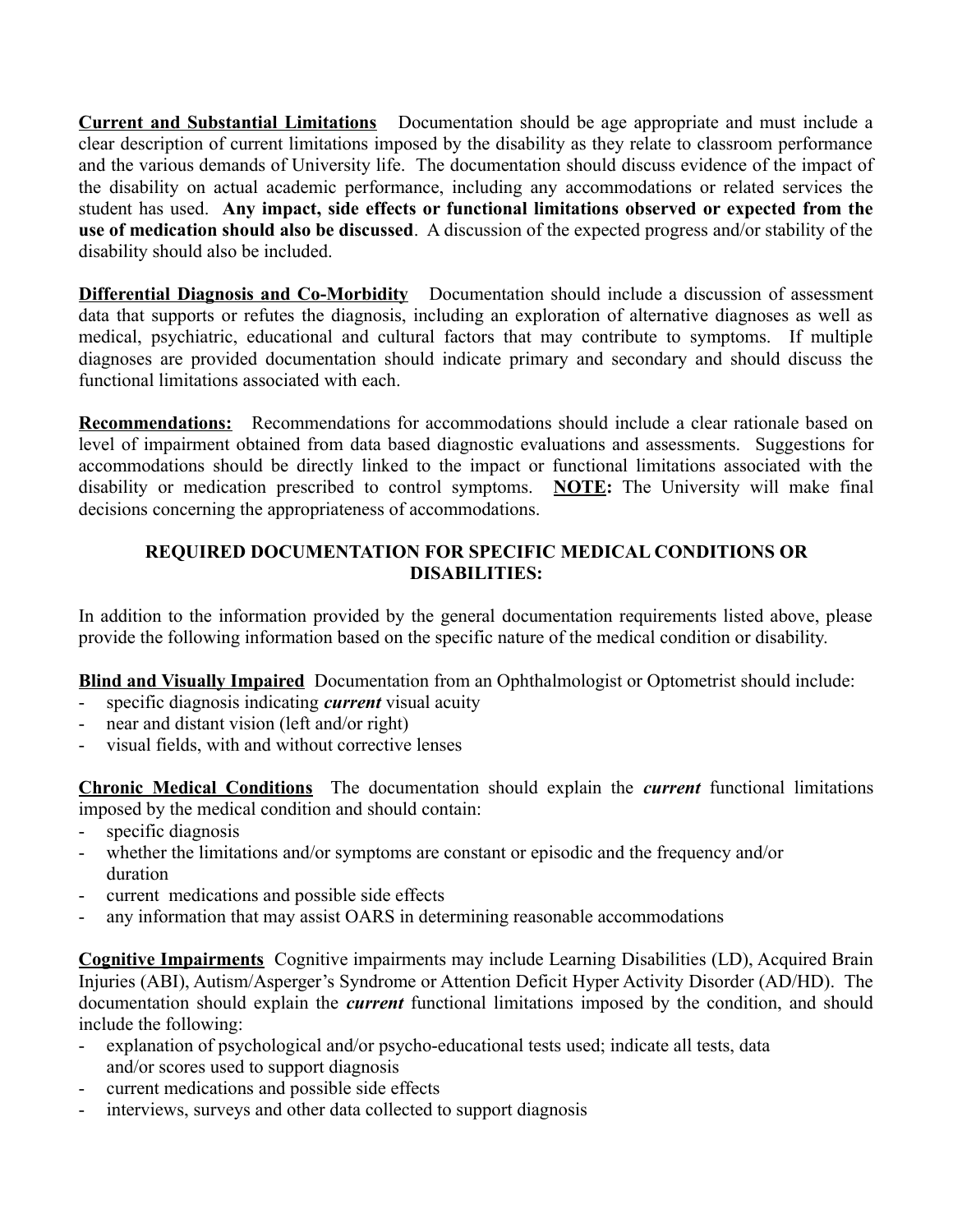**Current and Substantial Limitations** Documentation should be age appropriate and must include a clear description of current limitations imposed by the disability as they relate to classroom performance and the various demands of University life. The documentation should discuss evidence of the impact of the disability on actual academic performance, including any accommodations or related services the student has used. **Any impact, side effects or functional limitations observed or expected from the use of medication should also be discussed**. A discussion of the expected progress and/or stability of the disability should also be included.

**Differential Diagnosis and Co-Morbidity** Documentation should include a discussion of assessment data that supports or refutes the diagnosis, including an exploration of alternative diagnoses as well as medical, psychiatric, educational and cultural factors that may contribute to symptoms. If multiple diagnoses are provided documentation should indicate primary and secondary and should discuss the functional limitations associated with each.

**Recommendations:** Recommendations for accommodations should include a clear rationale based on level of impairment obtained from data based diagnostic evaluations and assessments.Suggestions for accommodations should be directly linked to the impact or functional limitations associated with the disability or medication prescribed to control symptoms. **NOTE:** The University will make final decisions concerning the appropriateness of accommodations.

## **REQUIRED DOCUMENTATION FOR SPECIFIC MEDICAL CONDITIONS OR DISABILITIES:**

In addition to the information provided by the general documentation requirements listed above, please provide the following information based on the specific nature of the medical condition or disability.

**Blind and Visually Impaired** Documentation from an Ophthalmologist or Optometrist should include:

- specific diagnosis indicating *current* visual acuity
- near and distant vision (left and/or right)
- visual fields, with and without corrective lenses

**Chronic Medical Conditions** The documentation should explain the *current* functional limitations imposed by the medical condition and should contain:

- specific diagnosis
- whether the limitations and/or symptoms are constant or episodic and the frequency and/or duration
- current medications and possible side effects
- any information that may assist OARS in determining reasonable accommodations

**Cognitive Impairments** Cognitive impairments may include Learning Disabilities (LD), Acquired Brain Injuries (ABI), Autism/Asperger's Syndrome or Attention Deficit Hyper Activity Disorder (AD/HD). The documentation should explain the *current* functional limitations imposed by the condition, and should include the following:

- explanation of psychological and/or psycho-educational tests used; indicate all tests, data and/or scores used to support diagnosis
- current medications and possible side effects
- interviews, surveys and other data collected to support diagnosis